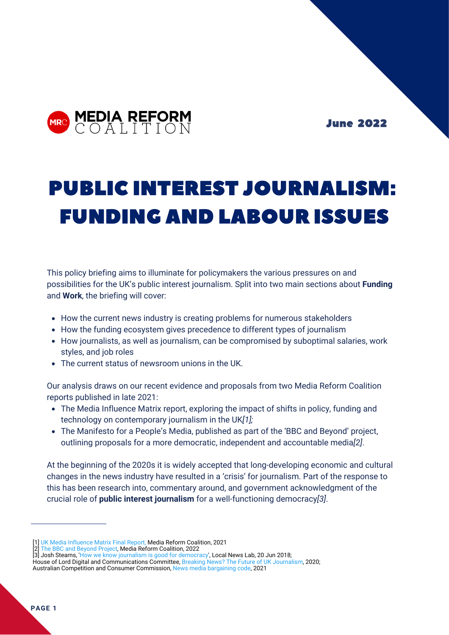

June 2022

# PUBLIC INTEREST JOURNALISM: FUNDING AND LABOUR ISSUES

This policy briefing aims to illuminate for policymakers the various pressures on and possibilities for the UK's public interest journalism. Split into two main sections about **Funding** and **Work**, the briefing will cover:

- How the current news industry is creating problems for numerous stakeholders
- How the funding ecosystem gives precedence to different types of journalism
- How journalists, as well as journalism, can be compromised by suboptimal salaries, work styles, and job roles
- The current status of newsroom unions in the UK.

Our analysis draws on our recent evidence and proposals from two Media Reform Coalition reports published in late 2021:

- The Media Influence Matrix report, exploring the impact of shifts in policy, funding and technology on contemporary journalism in the UK*[1];*
- The Manifesto for a People's Media, published as part of the 'BBC and Beyond' project, outlining proposals for a more democratic, independent and accountable media*[2]*.

At the beginning of the 2020s it is widely accepted that long-developing economic and cultural changes in the news industry have resulted in a 'crisis' for journalism. Part of the response to this has been research into, commentary around, and government acknowledgment of the crucial role of **public interest journalism** for a well-functioning democracy*[3]*.

<sup>[1]</sup> [UK Media Influence Matrix Final Report](https://cmds.ceu.edu/sites/cmcs.ceu.hu/files/attachment/basicpage/1923/mimukfinalreport_0.pdf), Media Reform Coalition, 2021

<sup>[2]</sup> [The BBC and Beyond Project](https://bbcandbeyond.net/#manifesto), Media Reform Coalition, 2022

<sup>[3]</sup> Josh Stearns, '[How we know journalism is good for democracy](https://localnewslab.org/2018/06/20/how-we-know-journalism-is-good-for-democracy/)', Local News Lab, 20 Jun 2018; House of Lord Digital and Communications Committee, [Breaking News? The Future of UK Journalism,](https://committees.parliament.uk/publications/3707/documents/36111/default/) 2020; Australian Competition and Consumer Commission, [News media bargaining code](https://www.accc.gov.au/focus-areas/digital-platforms/news-media-bargaining-code), 2021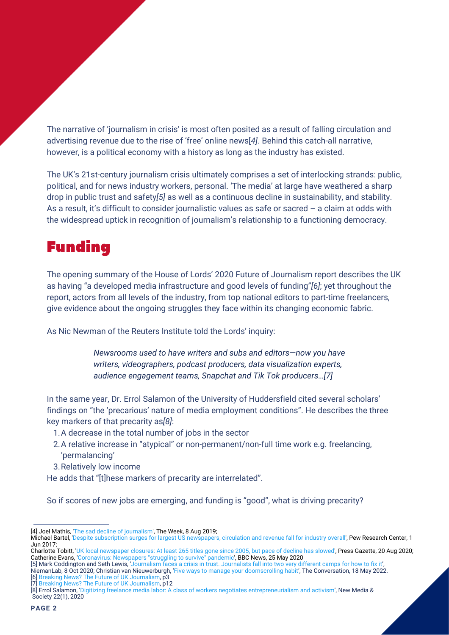The narrative of 'journalism in crisis' is most often posited as a result of falling circulation and advertising revenue due to the rise of 'free' online news[*4]*. Behind this catch-all narrative, however, is a political economy with a history as long as the industry has existed.

The UK's 21st-century journalism crisis ultimately comprises a set of interlocking strands: public, political, and for news industry workers, personal. 'The media' at large have weathered a sharp drop in public trust and safety*[5]* as well as a continuous decline in sustainability, and stability. As a result, it's difficult to consider journalistic values as safe or sacred – a claim at odds with the widespread uptick in recognition of journalism's relationship to a functioning democracy.

# Funding

The opening summary of the House of Lords' 2020 Future of Journalism report describes the UK as having "a developed media infrastructure and good levels of funding"*[6]*; yet throughout the report, actors from all levels of the industry, from top national editors to part-time freelancers, give evidence about the ongoing struggles they face within its changing economic fabric.

As Nic Newman of the Reuters Institute told the Lords' inquiry:

*Newsrooms used to have writers and subs and editors—now you have writers, videographers, podcast producers, data visualization experts, audience engagement teams, Snapchat and Tik Tok producers…[7]*

In the same year, Dr. Errol Salamon of the University of Huddersfield cited several scholars' findings on "the 'precarious' nature of media employment conditions". He describes the three key markers of that precarity as*[8]*:

- 1. A decrease in the total number of jobs in the sector
- 2. A relative increase in "atypical" or non-permanent/non-full time work e.g. freelancing, 'permalancing'
- 3. Relatively low income
- He adds that "[t]hese markers of precarity are interrelated".

So if scores of new jobs are emerging, and funding is "good", what is driving precarity?

Charlotte Tobitt, '[UK local newspaper closures: At least 265 titles gone since 2005, but pace of decline has slowed](https://pressgazette.co.uk/uk-local-newspaper-closures-at-least-265-local-newspaper-titles-gone-since-2005-but-pace-of-decline-has-slowed/)', Press Gazette, 20 Aug 2020; Catherine Evans, '[Coronavirus: Newspapers "struggling to survive" pandemic'](https://www.bbc.co.uk/news/uk-wales-52771503), BBC News, 25 May 2020

[7] [Breaking News? The Future of UK Journalism,](https://committees.parliament.uk/publications/3707/documents/36111/default/) p12

<sup>[4]</sup> Joel Mathis, '[The sad decline of journalism'](https://theweek.com/articles/857795/sad-decline-journalism), The Week, 8 Aug 2019;

Michael Bartel, '[Despite subscription surges for largest US newspapers, circulation and revenue fall for industry overall](https://www.pewresearch.org/fact-tank/2017/06/01/circulation-and-revenue-fall-for-newspaper-industry/)', Pew Research Center, 1 Jun 2017;

<sup>[5]</sup> Mark Coddington and Seth Lewis, ['Journalism faces a crisis in trust. Journalists fall into two very different camps for how to fix it'](https://www.niemanlab.org/2020/10/journalism-faces-a-crisis-in-trust-journalists-fall-into-two-very-different-camps-for-how-to-fix-it/), NiemanLab, 8 Oct 2020; Christian van Nieuwerburgh, ['Five ways to manage your doomscrolling habit',](https://theconversation.com/five-ways-to-manage-your-doomscrolling-habit-183265) The Conversation, 18 May 2022. [6] [Breaking News? The Future of UK Journalism,](https://committees.parliament.uk/publications/3707/documents/36111/default/) p3

<sup>[8]</sup> Errol Salamon, ['Digitizing freelance media labor: A class of workers negotiates entrepreneurialism and activism',](https://journals.sagepub.com/doi/pdf/10.1177/1461444819861958) New Media & Society 22(1), 2020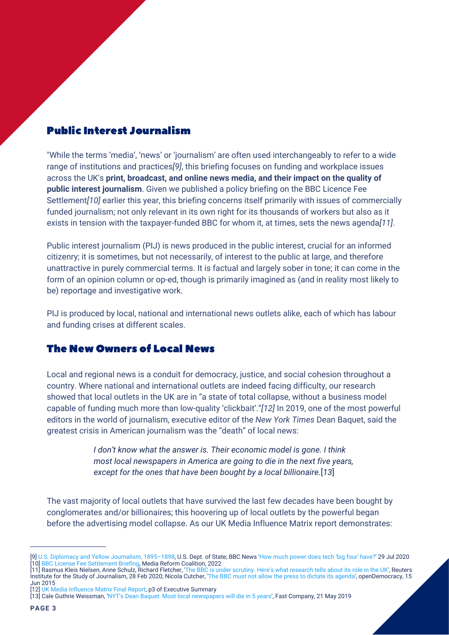### Public Interest Journalism

"While the terms 'media', 'news' or 'journalism' are often used interchangeably to refer to a wide range of institutions and practices*[9]*, this briefing focuses on funding and workplace issues across the UK's **print, broadcast, and online news media, and their impact on the quality of public interest journalism**. Given we published a policy briefing on the BBC Licence Fee Settlement*[10]* earlier this year, this briefing concerns itself primarily with issues of commercially funded journalism; not only relevant in its own right for its thousands of workers but also as it exists in tension with the taxpayer-funded BBC for whom it, at times, sets the news agenda*[11]*.

Public interest journalism (PIJ) is news produced in the public interest, crucial for an informed citizenry; it is sometimes, but not necessarily, of interest to the public at large, and therefore unattractive in purely commercial terms. It is factual and largely sober in tone; it can come in the form of an opinion column or op-ed, though is primarily imagined as (and in reality most likely to be) reportage and investigative work.

PIJ is produced by local, national and international news outlets alike, each of which has labour and funding crises at different scales.

#### The New Owners of Local News

Local and regional news is a conduit for democracy, justice, and social cohesion throughout a country. Where national and international outlets are indeed facing difficulty, our research showed that local outlets in the UK are in "a state of total collapse, without a business model capable of funding much more than low-quality 'clickbait'."*[12]* In 2019, one of the most powerful editors in the world of journalism, executive editor of the *New York Times* Dean Baquet, said the greatest crisis in American journalism was the "death" of local news:

> *I don't know what the answer is. Their economic model is gone. I think most local newspapers in America are going to die in the next five years, except for the ones that have been bought by a local billionaire.*[*13*]

The vast majority of local outlets that have survived the last few decades have been bought by conglomerates and/or billionaires; this hoovering up of local outlets by the powerful began before the advertising model collapse. As our UK Media Influence Matrix report demonstrates:

<sup>[9</sup>[\]](https://hansard.parliament.uk/commons/2022-01-17/debates/7E590668-43C9-43D8-9C49-9D29B8530977/BBCFunding) [U.S. Diplomacy and Yellow Journalism, 1895–1898,](https://history.state.gov/milestones/1866-1898/yellow-journalism) U.S. Dept. of State[; BBC News](https://hansard.parliament.uk/commons/2022-01-17/debates/7E590668-43C9-43D8-9C49-9D29B8530977/BBCFunding) '[How much power does tech 'big four' have?](https://www.bbc.co.uk/news/av/world-us-canada-53575974)' [29](https://hansard.parliament.uk/commons/2022-01-17/debates/7E590668-43C9-43D8-9C49-9D29B8530977/BBCFunding) Jul 2020 [10[\]](https://hansard.parliament.uk/commons/2022-01-17/debates/7E590668-43C9-43D8-9C49-9D29B8530977/BBCFunding) [BBC License Fee Settlement Briefing](https://www.mediareform.org.uk/blog/new-briefing-on-the-licence-fee-settlement)[, Media Reform Coalition, 2022](https://hansard.parliament.uk/commons/2022-01-17/debates/7E590668-43C9-43D8-9C49-9D29B8530977/BBCFunding)

<sup>[11]</sup> Rasmus Kleis Nielsen, Anne Schulz, Richard Fletcher, '[The BBC is under scrutiny. Here's what research tells about its role in the UK](https://reutersinstitute.politics.ox.ac.uk/news/bbc-under-scrutiny-heres-what-research-tells-about-its-role-uk)', Reuters Institute for the Study of Journalism, 28 Feb 2020; Nicola Cutcher, '[The BBC must not allow the press to dictate its agenda](https://www.opendemocracy.net/en/ourbeeb/bbc-must-not-allow-press-to-dictate-its-agenda/)', openDemocracy, 15 Jun 2015

<sup>[12]</sup> [UK Media Influence Matrix Final Report](https://www.mediareform.org.uk/blog/uk-media-influence-matrix-final-report), p3 of Executive Summary

<sup>[13]</sup> Cale Guthrie Weissman, ['NYT's Dean Baquet: Most local newspapers will die in 5 years',](https://www.fastcompany.com/90353613/nyts-dean-baquet-most-local-newspapers-will-die-in-5-years) Fast Company, 21 May 2019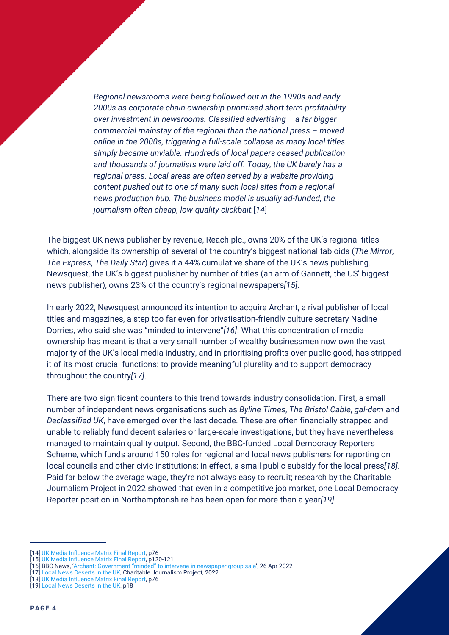*Regional newsrooms were being hollowed out in the 1990s and early 2000s as corporate chain ownership prioritised short-term profitability over investment in newsrooms. Classified advertising – a far bigger commercial mainstay of the regional than the national press – moved online in the 2000s, triggering a full-scale collapse as many local titles simply became unviable. Hundreds of local papers ceased publication and thousands of journalists were laid off. Today, the UK barely has a regional press. Local areas are often served by a website providing content pushed out to one of many such local sites from a regional news production hub. The business model is usually ad-funded, the journalism often cheap, low-quality clickbait.*[*14*]

The biggest UK news publisher by revenue, Reach plc., owns 20% of the UK's regional titles which, alongside its ownership of several of the country's biggest national tabloids (*The Mirror*, *The Express*, *The Daily Star*) gives it a 44% cumulative share of the UK's news publishing. Newsquest, the UK's biggest publisher by number of titles (an arm of Gannett, the US' biggest news publisher), owns 23% of the country's regional newspapers*[15]*.

In early 2022, Newsquest announced its intention to acquire Archant, a rival publisher of local titles and magazines, a step too far even for privatisation-friendly culture secretary Nadine Dorries, who said she was "minded to intervene"*[16]*. What this concentration of media ownership has meant is that a very small number of wealthy businessmen now own the vast majority of the UK's local media industry, and in prioritising profits over public good, has stripped it of its most crucial functions: to provide meaningful plurality and to support democracy throughout the country*[17]*.

There are two significant counters to this trend towards industry consolidation. First, a small number of independent news organisations such as *Byline Times*, *The Bristol Cable*, *gal-dem* and *Declassified UK*, have emerged over the last decade. These are often financially strapped and unable to reliably fund decent salaries or large-scale investigations, but they have nevertheless managed to maintain quality output. Second, the BBC-funded Local Democracy Reporters Scheme, which funds around 150 roles for regional and local news publishers for reporting on local councils and other civic institutions; in effect, a small public subsidy for the local press*[18]*. Paid far below the average wage, they're not always easy to recruit; research by the Charitable Journalism Project in 2022 showed that even in a competitive job market, one Local Democracy Reporter position in Northamptonshire has been open for more than a year*[19]*.

<sup>[14]</sup> [UK Media Influence Matrix Final Report](https://www.mediareform.org.uk/blog/uk-media-influence-matrix-final-report), p76

<sup>[15]</sup> [UK Media Influence Matrix Final Report](https://www.mediareform.org.uk/blog/uk-media-influence-matrix-final-report), p120-121

<sup>[16]</sup> BBC News, ['Archant: Government "minded" to intervene in newspaper group sale'](https://www.bbc.co.uk/news/uk-england-norfolk-61232681), 26 Apr 2022

<sup>[17]</sup> [Local News Deserts in the UK](https://cjproject.org/research-projects/), Charitable Journalism Project, 2022

<sup>[18]</sup> [UK Media Influence Matrix Final Report](https://www.mediareform.org.uk/blog/uk-media-influence-matrix-final-report), p76

<sup>[19]</sup> [Local News Deserts in the UK](https://cjproject.org/research-projects/), p18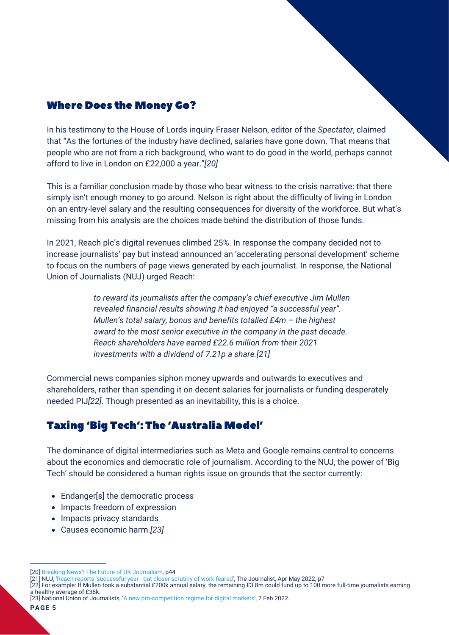### Where Does the Money Go?

In his testimony to the House of Lords inquiry Fraser Nelson, editor of the *Spectator*, claimed that "As the fortunes of the industry have declined, salaries have gone down. That means that people who are not from a rich background, who want to do good in the world, perhaps cannot afford to live in London on £22,000 a year."*[20]*

This is a familiar conclusion made by those who bear witness to the crisis narrative: that there simply isn't enough money to go around. Nelson is right about the difficulty of living in London on an entry-level salary and the resulting consequences for diversity of the workforce. But what's missing from his analysis are the choices made behind the distribution of those funds.

In 2021, Reach plc's digital revenues climbed 25%. In response the company decided not to increase journalists' pay but instead announced an 'accelerating personal development' scheme to focus on the numbers of page views generated by each journalist. In response, the National Union of Journalists (NUJ) urged Reach:

> *to reward its journalists after the company's chief executive Jim Mullen revealed financial results showing it had enjoyed "a successful year". Mullen's total salary, bonus and benefits totalled £4m – the highest award to the most senior executive in the company in the past decade. Reach shareholders have earned £22.6 million from their 2021 investments with a dividend of 7.21p a share.[21]*

Commercial news companies siphon money upwards and outwards to executives and shareholders, rather than spending it on decent salaries for journalists or funding desperately needed PIJ*[22]*. Though presented as an inevitability, this is a choice.

### Taxing 'Big Tech': The 'Australia Model'

The dominance of digital intermediaries such as Meta and Google remains central to concerns about the economics and democratic role of journalism. According to the NUJ, the power of 'Big Tech' should be considered a human rights issue on grounds that the sector currently:

- Endanger[s] the democratic process
- Impacts freedom of expression
- Impacts privacy standards
- Causes economic harm.*[23]*

[23] National Union of Journalists, ['A new pro-competition regime for digital markets',](https://www.nuj.org.uk/resource/a-new-pro-competition-regime-for-digital-markets-pdf.html) 7 Feb 2022.

<sup>[20]</sup> [Breaking News? The Future of UK Journalism,](https://committees.parliament.uk/publications/3707/documents/36111/default/) p44

<sup>[21]</sup> NUJ, '[Reach reports 'successful year - but closer scrutiny of work feared](https://www.nuj.org.uk/resource/the-journalist-april-may-2022.html)', The Journalist, Apr-May [2022,](https://www.nuj.org.uk/resource/the-journalist-april-may-2022.html) p7

<sup>[22]</sup> For example: If Mullen took a substantial £200k annual salary, the remaining £3.8m could fund up to 100 more full-time journalists earning a healthy average of £38k.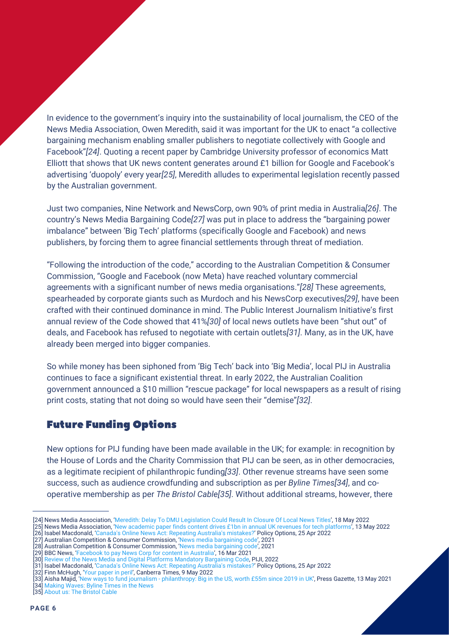In evidence to the government's inquiry into the sustainability of local journalism, the CEO of the News Media Association, Owen Meredith, said it was important for the UK to enact "a collective bargaining mechanism enabling smaller publishers to negotiate collectively with Google and Facebook"*[24]*. Quoting a recent paper by Cambridge University professor of economics Matt Elliott that shows that UK news content generates around £1 billion for Google and Facebook's advertising 'duopoly' every year*[25]*, Meredith alludes to experimental legislation recently passed by the Australian government.

Just two companies, Nine Network and NewsCorp, own 90% of print media in Australia*[26]*. The country's News Media Bargaining Code*[27]* was put in place to address the "bargaining power imbalance" between 'Big Tech' platforms (specifically Google and Facebook) and news publishers, by forcing them to agree financial settlements through threat of mediation.

"Following the introduction of the code," according to the Australian Competition & Consumer Commission, "Google and Facebook (now Meta) have reached voluntary commercial agreements with a significant number of news media organisations."*[28]* These agreements, spearheaded by corporate giants such as Murdoch and his NewsCorp executives*[29]*, have been crafted with their continued dominance in mind. The Public Interest Journalism Initiative's first annual review of the Code showed that 41%*[30]* of local news outlets have been "shut out" of deals, and Facebook has refused to negotiate with certain outlets*[31]*. Many, as in the UK, have already been merged into bigger companies.

So while money has been siphoned from 'Big Tech' back into 'Big Media', local PIJ in Australia continues to face a significant existential threat. In early 2022, the Australian Coalition government announced a \$10 million "rescue package" for local newspapers as a result of rising print costs, stating that not doing so would have seen their "demise"*[32]*.

### Future Funding Options

New options for PIJ funding have been made available in the UK; for example: in recognition by the House of Lords and the Charity Commission that PIJ can be seen, as in other democracies, as a legitimate recipient of philanthropic funding*[33]*. Other revenue streams have seen some success, such as audience crowdfunding and subscription as per *Byline Times[34]*, and cooperative membership as per *The Bristol Cable[35]*. Without additional streams, however, there

[28] Australian Competition & Consumer Commission, ['News media bargaining code',](https://www.accc.gov.au/focus-areas/digital-platforms/news-media-bargaining-code) 2021

<sup>[24]</sup> News Media Association, ['Meredith: Delay To DMU Legislation Could Result In Closure Of Local News Titles'](http://www.newsmediauk.org/Latest/meredith-delay-to-dmu-legislation-could-result-in-closure-of-local-news-titles), 18 May 2022

<sup>[25]</sup> News Media Association, ['New academic paper finds content drives £1bn in annual UK revenues for tech platforms'](http://www.newsmediauk.org/News/new-academic-paper-finds-news-content-drives-1bn-in-annual-uk-revenues-for-tech-platforms/278671), 13 May 2022

<sup>[26]</sup> Isabel Macdonald, ['Canada's Online News Act: Repeating Australia's mistakes?](https://policyoptions.irpp.org/magazines/april-2022/canada-online-news-act-mistake/)' Policy Options, 25 Apr 2022

<sup>[27]</sup> Australian Competition & Consumer Commission, ['News media bargaining code',](https://www.accc.gov.au/focus-areas/digital-platforms/news-media-bargaining-code) 2021

<sup>[29]</sup> BBC News, ['Facebook to pay News Corp for content in Australia',](https://www.bbc.co.uk/news/world-australia-56410335) 16 Mar 2021

<sup>[30]</sup> [Review of the News Media and Digital Platforms Mandatory Bargaining Code](https://piji.com.au/wp-content/uploads/2022/05/nmbc-review_piji-submission_may-2022.pdf), PIJI, 2022 [31] Isabel Macdonald, ['Canada's Online News Act: Repeating Australia's mistakes?](https://policyoptions.irpp.org/magazines/april-2022/canada-online-news-act-mistake/)' Policy Options, 25 Apr 2022

<sup>[32]</sup> Finn McHugh, ['Your paper in peril'](https://www.canberratimes.com.au/story/7730418/your-paper-in-peril-labor-to-match-governments-10m-lifeline), Canberra Times, 9 May 2022

<sup>[33]</sup> Aisha Majid, '[New ways to fund journalism - philanthropy: Big in the US, worth £55m since 2019 in UK](https://pressgazette.co.uk/philanthropy-funding-journalism/)', Press Gazette, 13 May 2021

<sup>[34]</sup> [Making Waves: Byline Times in the News](https://bylinetimes.com/impact/)

<sup>[35]</sup> [About us: The Bristol Cable](https://thebristolcable.org/about/)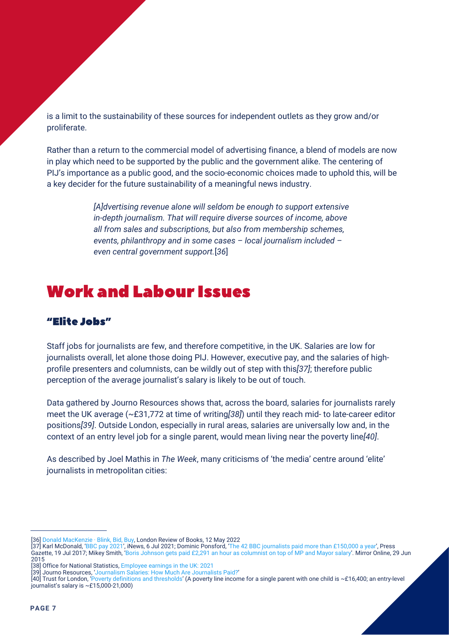is a limit to the sustainability of these sources for independent outlets as they grow and/or proliferate.

Rather than a return to the commercial model of advertising finance, a blend of models are now in play which need to be supported by the public and the government alike. The centering of PIJ's importance as a public good, and the socio-economic choices made to uphold this, will be a key decider for the future sustainability of a meaningful news industry.

> *[A]dvertising revenue alone will seldom be enough to support extensive in-depth journalism. That will require diverse sources of income, above all from sales and subscriptions, but also from membership schemes, events, philanthropy and in some cases – local journalism included – even central government support.*[*36*]

# Work and Labour Issues

# "Elite Jobs"

Staff jobs for journalists are few, and therefore competitive, in the UK. Salaries are low for journalists overall, let alone those doing PIJ. However, executive pay, and the salaries of highprofile presenters and columnists, can be wildly out of step with this*[37]*; therefore public perception of the average journalist's salary is likely to be out of touch.

Data gathered by Journo Resources shows that, across the board, salaries for journalists rarely meet the UK average (~£31,772 at time of writing*[38]*) until they reach mid- to late-career editor positions*[39]*. Outside London, especially in rural areas, salaries are universally low and, in the context of an entry level job for a single parent, would mean living near the poverty line*[40]*.

As described by Joel Mathis in *The Week*, many criticisms of 'the media' centre around 'elite' journalists in metropolitan cities:

[37] Karl McDonald, ['BBC pay 2021',](https://inews.co.uk/news/media/bbc-pay-2021-list-salaries-presenters-full-who-highest-paid-stars-1088887) iNews, 6 Jul 2021; Dominic Ponsford, ['The 42 BBC journalists paid more than £150,000 a year',](https://pressgazette.co.uk/more-than-40-bbc-journalists-paid-more-than-prime-minister-theresa-may-full-list-with-salary-details/) Press Gazette, 19 Jul 2017; Mikey Smith, ['Boris Johnson gets paid £2,291 an hour as columnist on top of MP and Mayor salary'.](https://www.mirror.co.uk/news/uk-news/boris-johnson-gets-paid-2291-5969943) Mirror Online, 29 Jun 2015

<sup>[36]</sup> [Donald MacKenzie · Blink, Bid, Buy, London Review of Books, 12 May 2022](https://www.lrb.co.uk/the-paper/v44/n09/donald-mackenzie/blink-bid-buy)

<sup>[38]</sup> Office for National Statistics, [Employee earnings in the UK: 2021](https://www.ons.gov.uk/employmentandlabourmarket/peopleinwork/earningsandworkinghours/bulletins/annualsurveyofhoursandearnings/2021)

<sup>[39]</sup> Journo Resources, ['Journalism Salaries: How Much Are Journalists Paid?'](https://www.journoresources.org.uk/journalism-salaries-how-much-journalists-paid/)

<sup>[40]</sup> Trust for London, ['Poverty definitions and thresholds'](https://www.trustforlondon.org.uk/data/poverty-thresholds/) (A poverty line income for a single parent with one child is ~£16,400; an entry-level journalist's salary is  $\sim$ £15,000-21,000)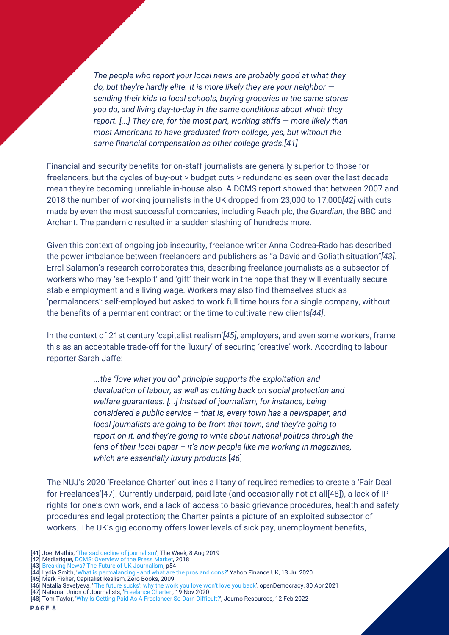*The people who report your local news are probably good at what they do, but they're hardly elite. It is more likely they are your neighbor sending their kids to local schools, buying groceries in the same stores you do, and living day-to-day in the same conditions about which they report. [...] They are, for the most part, working stiffs — more likely than most Americans to have graduated from college, yes, but without the same financial compensation as other college grads.[41]*

Financial and security benefits for on-staff journalists are generally superior to those for freelancers, but the cycles of buy-out > budget cuts > redundancies seen over the last decade mean they're becoming unreliable in-house also. A DCMS report showed that between 2007 and 2018 the number of working journalists in the UK dropped from 23,000 to 17,000*[42]* with cuts made by even the most successful companies, including Reach plc, the *Guardian*, the BBC and Archant. The pandemic resulted in a sudden slashing of hundreds more.

Given this context of ongoing job insecurity, freelance writer Anna Codrea-Rado has described the power imbalance between freelancers and publishers as "a David and Goliath situation"*[43]*. Errol Salamon's research corroborates this, describing freelance journalists as a subsector of workers who may 'self-exploit' and 'gift' their work in the hope that they will eventually secure stable employment and a living wage. Workers may also find themselves stuck as 'permalancers': self-employed but asked to work full time hours for a single company, without the benefits of a permanent contract or the time to cultivate new clients*[44]*.

In the context of 21st century 'capitalist realism'*[45]*, employers, and even some workers, frame this as an acceptable trade-off for the 'luxury' of securing 'creative' work. According to labour reporter Sarah Jaffe:

> *...the "love what you do" principle supports the exploitation and devaluation of labour, as well as cutting back on social protection and welfare guarantees. [...] Instead of journalism, for instance, being considered a public service – that is, every town has a newspaper, and local journalists are going to be from that town, and they're going to report on it, and they're going to write about national politics through the lens of their local paper – it's now people like me working in magazines, which are essentially luxury products.*[*46*]

The NUJ's 2020 'Freelance Charter' outlines a litany of required remedies to create a 'Fair Deal for Freelances'[47]. Currently underpaid, paid late (and occasionally not at all[48]), a lack of IP rights for one's own work, and a lack of access to basic grievance procedures, health and safety procedures and legal protection; the Charter paints a picture of an exploited subsector of workers. The UK's gig economy offers lower levels of sick pay, unemployment benefits,

National Union of Journalists, ['Freelance Charter',](https://www.nuj.org.uk/resource/freelance-charter.html) 19 Nov 2020

<sup>[41]</sup> Joel Mathis, ['The sad decline of journalism',](https://theweek.com/articles/857795/sad-decline-journalism) The Week, 8 Aug 2019

<sup>[42]</sup> Mediatique, [DCMS: Overview of the Press Market](https://assets.publishing.service.gov.uk/government/uploads/system/uploads/attachment_data/file/778155/180621_Mediatique_-_Overview_of_recent_dynamics_in_the_UK_press_market_-_Report_for_DCMS.pdf), 2018

<sup>[43]</sup> [Breaking News? The Future of UK Journalism,](https://committees.parliament.uk/publications/3707/documents/36111/default/) p54

<sup>[44]</sup> Lydia Smith, ['What is permalancing - and what are the pros and cons?'](https://uk.finance.yahoo.com/news/what-is-permalancing-and-what-are-the-pros-and-cons-050017990.html?guccounter=1) Yahoo Finance UK, 13 Jul 2020

<sup>[45]</sup> Mark Fisher, Capitalist Realism, Zero Books, 2009

<sup>[46]</sup> Natalia Savelyeva, ['](https://www.opendemocracy.net/en/oureconomy/the-future-sucks-why-the-work-you-love-wont-love-you-back/)'[The future sucks': why the work you love won't love you back',](https://www.opendemocracy.net/en/oureconomy/the-future-sucks-why-the-work-you-love-wont-love-you-back/) openDemocracy, 30 Apr 2021

<sup>[48]</sup> Tom Taylor, '[Why Is Getting Paid As A Freelancer So Darn Difficult?](https://www.journoresources.org.uk/how-do-freelance-journalists-get-paid/)', Journo Resources, 12 Feb 2022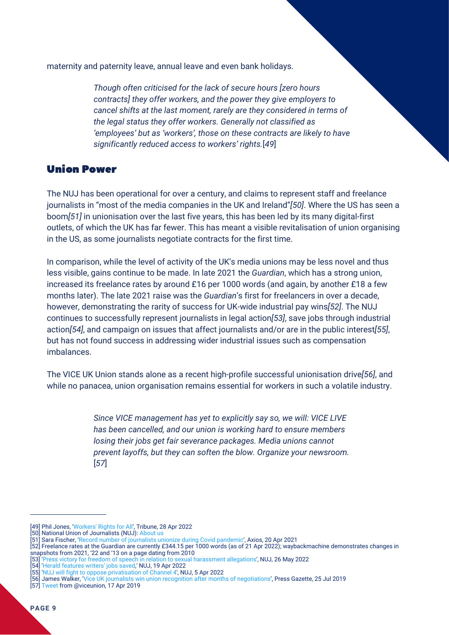maternity and paternity leave, annual leave and even bank holidays.

*Though often criticised for the lack of secure hours [zero hours contracts] they offer workers, and the power they give employers to cancel shifts at the last moment, rarely are they considered in terms of the legal status they offer workers. Generally not classified as 'employees' but as 'workers', those on these contracts are likely to have significantly reduced access to workers' rights.*[*49*]

#### Union Power

The NUJ has been operational for over a century, and claims to represent staff and freelance journalists in "most of the media companies in the UK and Ireland"*[50]*. Where the US has seen a boom*[51]* in unionisation over the last five years, this has been led by its many digital-first outlets, of which the UK has far fewer. This has meant a visible revitalisation of union organising in the US, as some journalists negotiate contracts for the first time.

In comparison, while the level of activity of the UK's media unions may be less novel and thus less visible, gains continue to be made. In late 2021 the *Guardian*, which has a strong union, increased its freelance rates by around £16 per 1000 words (and again, by another £18 a few months later). The late 2021 raise was the *Guardian*'s first for freelancers in over a decade, however, demonstrating the rarity of success for UK-wide industrial pay wins*[52]*. The NUJ continues to successfully represent journalists in legal action*[53]*, save jobs through industrial action*[54]*, and campaign on issues that affect journalists and/or are in the public interest*[55]*, but has not found success in addressing wider industrial issues such as compensation imbalances.

The VICE UK Union stands alone as a recent high-profile successful unionisation drive*[56]*, and while no panacea, union organisation remains essential for workers in such a volatile industry.

> *Since VICE management has yet to explicitly say so, we will: VICE LIVE has been cancelled, and our union is working hard to ensure members losing their jobs get fair severance packages. Media unions cannot prevent layoffs, but they can soften the blow. Organize your newsroom.* [*57*]

<sup>[49]</sup> Phil Jones, ['Workers' Rights for All'](https://tribunemag.co.uk/2022/04/why-we-need-workers-rights-for-all), Tribune, 28 Apr 2022

<sup>[50]</sup> [National Union of Journalists \(NUJ\): About us](https://www.nuj.org.uk/about-us.html)

<sup>[51]</sup> Sara Fischer, ['Record number of journalists unionize during Covid pandemic'](https://www.axios.com/2021/04/20/journalists-unionize-digital-media), Axios, 20 Apr 2021

<sup>[52]</sup> [Freelance rates](https://www.theguardian.com/info/guardian-news-media-freelance-charter#3ebc452b-2c4e-4c5d-9cf6-03649ea74bed) at the Guardian are currently £344.15 per 1000 words (as of 21 Apr 2022); waybackmachine demonstrates changes in snapshots from 2021, '22 and '13 on a page dating from 2010

<sup>[53] &#</sup>x27;[Press victory for freedom of speech in relation to sexual harassment allegations](https://www.nuj.org.uk/resource/press-victory-for-freedom-of-speech-in-relation-to-sexual-harassment-allegations.html)', NUJ, 26 May 2022

<sup>[54] &#</sup>x27;[Herald features writers' jobs saved](https://www.nuj.org.uk/resource/herald-features-writers-jobs-saved.html),' NUJ, 19 Apr 2022

<sup>[55] &#</sup>x27;[NUJ will fight to oppose privatisation of Channel 4](https://www.nuj.org.uk/resource/nuj-will-fight-to-oppose-privatisation-of-channel-4.html)', NUJ, 5 Apr 2022

<sup>[56]</sup> James Walker, ['Vice UK journalists win union recognition after months of negotiations',](https://pressgazette.co.uk/vice-uk-journalists-win-union-recognition-after-months-of-negotiations-nuj-national-union-chapel/) Press Gazette, 25 Jul 2019

<sup>[57]</sup> [Tweet](https://twitter.com/viceunion/status/1118593234048094209?s=20&t=7aZc0wO_Fni6lq_DgvY9VA) from @viceunion, 17 Apr 2019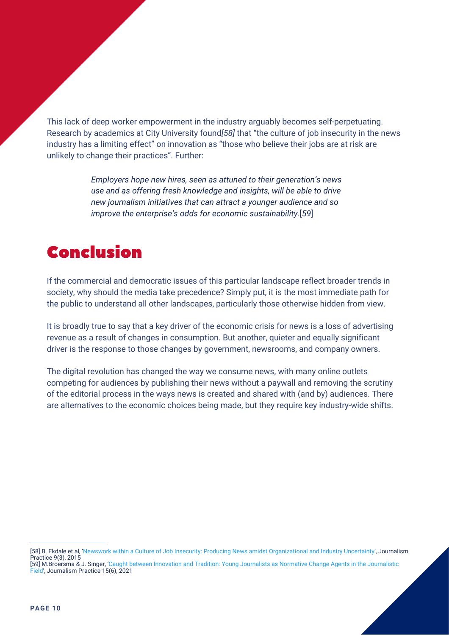This lack of deep worker empowerment in the industry arguably becomes self-perpetuating. Research by academics at City University found*[58]* that "the culture of job insecurity in the news industry has a limiting effect" on innovation as "those who believe their jobs are at risk are unlikely to change their practices". Further:

> *Employers hope new hires, seen as attuned to their generation's news use and as offering fresh knowledge and insights, will be able to drive new journalism initiatives that can attract a younger audience and so improve the enterprise's odds for economic sustainability.*[*59*]

# Conclusion

If the commercial and democratic issues of this particular landscape reflect broader trends in society, why should the media take precedence? Simply put, it is the most immediate path for the public to understand all other landscapes, particularly those otherwise hidden from view.

It is broadly true to say that a key driver of the economic crisis for news is a loss of advertising revenue as a result of changes in consumption. But another, quieter and equally significant driver is the response to those changes by government, newsrooms, and company owners.

The digital revolution has changed the way we consume news, with many online outlets competing for audiences by publishing their news without a paywall and removing the scrutiny of the editorial process in the ways news is created and shared with (and by) audiences. There are alternatives to the economic choices being made, but they require key industry-wide shifts.

<sup>[58]</sup> B. Ekdale et al, ['Newswork within a Culture of Job Insecurity: Producing News amidst Organizational and Industry Uncertainty](https://openaccess.city.ac.uk/id/eprint/4244/)', Journalism Practice 9(3), 2015

[<sup>\[59\]</sup> M.Broersma & J. Singer, 'Caught between Innovation and Tradition: Young Journalists as Normative Change Agents in the Journalistic](https://openaccess.city.ac.uk/id/eprint/24940/) Fiel[d',](https://openaccess.city.ac.uk/id/eprint/24940/) Journalism Practice 15(6), 2021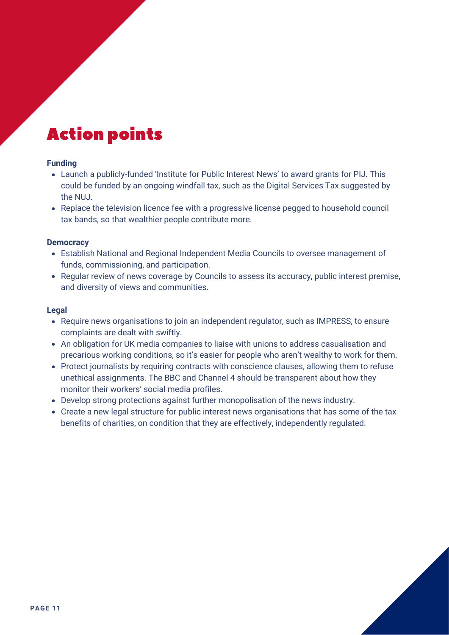# Action points

#### **Funding**

- Launch a publicly-funded 'Institute for Public Interest News' to award grants for PIJ. This could be funded by an ongoing windfall tax, such as the Digital Services Tax suggested by the NUJ.
- Replace the television licence fee with a progressive license pegged to household council tax bands, so that wealthier people contribute more.

#### **Democracy**

- Establish National and Regional Independent Media Councils to oversee management of funds, commissioning, and participation.
- Regular review of news coverage by Councils to assess its accuracy, public interest premise, and diversity of views and communities.

#### **Legal**

- Require news organisations to join an independent regulator, such as IMPRESS, to ensure complaints are dealt with swiftly.
- An obligation for UK media companies to liaise with unions to address casualisation and precarious working conditions, so it's easier for people who aren't wealthy to work for them.
- Protect journalists by requiring contracts with conscience clauses, allowing them to refuse unethical assignments. The BBC and Channel 4 should be transparent about how they monitor their workers' social media profiles.
- Develop strong protections against further monopolisation of the news industry.
- Create a new legal structure for public interest news organisations that has some of the tax benefits of charities, on condition that they are effectively, independently regulated.